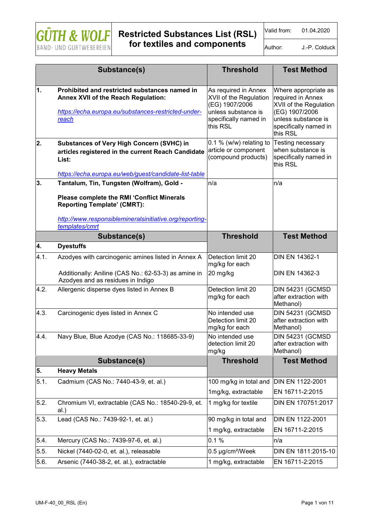

Valid from: 01.04.2020

Author: **J.-P. Colduck** 

|            | Substance(s)                                                                                                                                                             | <b>Threshold</b>                                                                                                             | <b>Test Method</b>                                                                                                                                |
|------------|--------------------------------------------------------------------------------------------------------------------------------------------------------------------------|------------------------------------------------------------------------------------------------------------------------------|---------------------------------------------------------------------------------------------------------------------------------------------------|
|            |                                                                                                                                                                          |                                                                                                                              |                                                                                                                                                   |
| $\vert$ 1. | Prohibited and restricted substances named in<br>Annex XVII of the Reach Regulation:<br>https://echa.europa.eu/substances-restricted-under-<br>reach                     | As required in Annex<br>XVII of the Regulation<br>(EG) 1907/2006<br>unless substance is<br>specifically named in<br>this RSL | Where appropriate as<br>required in Annex<br>XVII of the Regulation<br>(EG) 1907/2006<br>unless substance is<br>specifically named in<br>this RSL |
| 2.         | <b>Substances of Very High Concern (SVHC) in</b><br>articles registered in the current Reach Candidate<br>List:<br>https://echa.europa.eu/web/guest/candidate-list-table | $0.1\%$ (w/w) relating to<br>article or component<br>(compound products)                                                     | Testing necessary<br>when substance is<br>specifically named in<br>this RSL                                                                       |
| 3.         | Tantalum, Tin, Tungsten (Wolfram), Gold -                                                                                                                                | n/a                                                                                                                          | n/a                                                                                                                                               |
|            | Please complete the RMI 'Conflict Minerals<br><b>Reporting Template' (CMRT):</b><br>http://www.responsiblemineralsinitiative.org/reporting-<br>templates/cmrt            |                                                                                                                              |                                                                                                                                                   |
|            | Substance(s)                                                                                                                                                             | <b>Threshold</b>                                                                                                             | <b>Test Method</b>                                                                                                                                |
| 4.         | <b>Dyestuffs</b>                                                                                                                                                         |                                                                                                                              |                                                                                                                                                   |
| 4.1.       | Azodyes with carcinogenic amines listed in Annex A                                                                                                                       | Detection limit 20<br>mg/kg for each                                                                                         | <b>DIN EN 14362-1</b>                                                                                                                             |
|            | Additionally: Aniline (CAS No.: 62-53-3) as amine in<br>Azodyes and as residues in Indigo                                                                                | 20 mg/kg                                                                                                                     | DIN EN 14362-3                                                                                                                                    |
| 4.2.       | Allergenic disperse dyes listed in Annex B                                                                                                                               | Detection limit 20<br>mg/kg for each                                                                                         | <b>DIN 54231 (GCMSD</b><br>after extraction with<br>Methanol)                                                                                     |
| 4.3.       | Carcinogenic dyes listed in Annex C                                                                                                                                      | No intended use<br>Detection limit 20<br>mg/kg for each                                                                      | <b>DIN 54231 (GCMSD</b><br>after extraction with<br>Methanol)                                                                                     |
| 4.4.       | Navy Blue, Blue Azodye (CAS No.: 118685-33-9)                                                                                                                            | No intended use<br>detection limit 20<br>mg/kg                                                                               | <b>DIN 54231 (GCMSD</b><br>after extraction with<br>Methanol)                                                                                     |
|            | Substance(s)                                                                                                                                                             | <b>Threshold</b>                                                                                                             | <b>Test Method</b>                                                                                                                                |
| 5.         | <b>Heavy Metals</b>                                                                                                                                                      |                                                                                                                              |                                                                                                                                                   |
| 5.1.       | Cadmium (CAS No.: 7440-43-9, et. al.)                                                                                                                                    | 100 mg/kg in total and                                                                                                       | DIN EN 1122-2001                                                                                                                                  |
|            |                                                                                                                                                                          | 1mg/kg, extractable                                                                                                          | EN 16711-2:2015                                                                                                                                   |
| 5.2.       | Chromium VI, extractable (CAS No.: 18540-29-9, et.<br>al.)                                                                                                               | 1 mg/kg for textile                                                                                                          | DIN EN 170751:2017                                                                                                                                |
| 5.3.       | Lead (CAS No.: 7439-92-1, et. al.)                                                                                                                                       | 90 mg/kg in total and                                                                                                        | DIN EN 1122-2001                                                                                                                                  |
|            |                                                                                                                                                                          | 1 mg/kg, extractable                                                                                                         | EN 16711-2:2015                                                                                                                                   |
| 5.4.       | Mercury (CAS No.: 7439-97-6, et. al.)                                                                                                                                    | 0.1%                                                                                                                         | n/a                                                                                                                                               |
| 5.5.       | Nickel (7440-02-0, et. al.), releasable                                                                                                                                  | 0.5 µg/cm <sup>2</sup> /Week                                                                                                 | DIN EN 1811:2015-10                                                                                                                               |
| 5.6.       | Arsenic (7440-38-2, et. al.), extractable                                                                                                                                | 1 mg/kg, extractable                                                                                                         | EN 16711-2:2015                                                                                                                                   |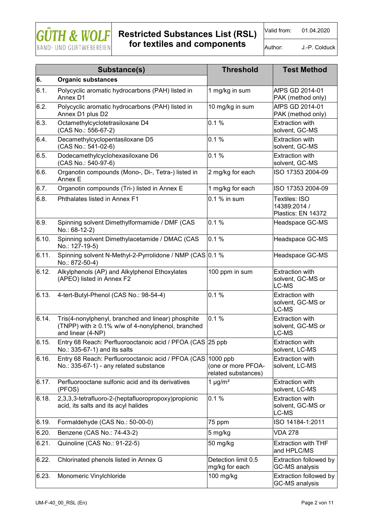

## **Restricted Substances List (RSL)**

Valid from: 01.04.2020

**for textiles and components** 

Author: J.-P. Colduck

|       | Substance(s)                                                                                                                       | <b>Threshold</b>                                      | <b>Test Method</b>                                   |
|-------|------------------------------------------------------------------------------------------------------------------------------------|-------------------------------------------------------|------------------------------------------------------|
| 6.    | <b>Organic substances</b>                                                                                                          |                                                       |                                                      |
| 6.1.  | Polycyclic aromatic hydrocarbons (PAH) listed in<br>Annex D1                                                                       | 1 mg/kg in sum                                        | AfPS GD 2014-01<br>PAK (method only)                 |
| 6.2.  | Polycyclic aromatic hydrocarbons (PAH) listed in<br>Annex D1 plus D2                                                               | 10 mg/kg in sum                                       | AfPS GD 2014-01<br>PAK (method only)                 |
| 6.3.  | Octamethylcyclotetrasiloxane D4<br>(CAS No.: 556-67-2)                                                                             | 0.1%                                                  | <b>Extraction with</b><br>solvent, GC-MS             |
| 6.4.  | Decamethylcyclopentasiloxane D5<br>(CAS No.: 541-02-6)                                                                             | 0.1%                                                  | <b>Extraction with</b><br>solvent, GC-MS             |
| 6.5.  | Dodecamethylcyclohexasiloxane D6<br>(CAS No.: 540-97-6)                                                                            | 0.1%                                                  | <b>Extraction with</b><br>solvent, GC-MS             |
| 6.6.  | Organotin compounds (Mono-, Di-, Tetra-) listed in<br>Annex E                                                                      | 2 mg/kg for each                                      | ISO 17353 2004-09                                    |
| 6.7.  | Organotin compounds (Tri-) listed in Annex E                                                                                       | 1 mg/kg for each                                      | ISO 17353 2004-09                                    |
| 6.8.  | Phthalates listed in Annex F1                                                                                                      | 0.1 % in sum                                          | Textiles: ISO<br>14389:2014 /<br>Plastics: EN 14372  |
| 6.9.  | Spinning solvent Dimethylformamide / DMF (CAS<br>No.: 68-12-2)                                                                     | 0.1%                                                  | Headspace GC-MS                                      |
| 6.10. | Spinning solvent Dimethylacetamide / DMAC (CAS<br>No.: 127-19-5)                                                                   | 0.1%                                                  | Headspace GC-MS                                      |
| 6.11. | Spinning solvent N-Methyl-2-Pyrrolidone / NMP (CAS 0.1 %<br>No.: 872-50-4)                                                         |                                                       | Headspace GC-MS                                      |
| 6.12. | Alkylphenols (AP) and Alkylphenol Ethoxylates<br>(APEO) listed in Annex F2                                                         | 100 ppm in sum                                        | <b>Extraction with</b><br>solvent, GC-MS or<br>LC-MS |
| 6.13. | 4-tert-Butyl-Phenol (CAS No.: 98-54-4)                                                                                             | 0.1%                                                  | <b>Extraction with</b><br>solvent, GC-MS or<br>LC-MS |
| 6.14. | Tris(4-nonylphenyl, branched and linear) phosphite<br>(TNPP) with $\geq 0.1\%$ w/w of 4-nonylphenol, branched<br>and linear (4-NP) | 0.1%                                                  | <b>Extraction with</b><br>solvent, GC-MS or<br>LC-MS |
| 6.15. | Entry 68 Reach: Perfluorooctanoic acid / PFOA (CAS 25 ppb)<br>No.: 335-67-1) and its salts                                         |                                                       | <b>Extraction with</b><br>solvent, LC-MS             |
| 6.16. | Entry 68 Reach: Perfluorooctanoic acid / PFOA (CAS<br>No.: 335-67-1) - any related substance                                       | 1000 ppb<br>(one or more PFOA-<br>related substances) | <b>Extraction with</b><br>solvent, LC-MS             |
| 6.17. | Perfluorooctane sulfonic acid and its derivatives<br>(PFOS)                                                                        | 1 $\mu$ g/m <sup>2</sup>                              | <b>Extraction with</b><br>solvent, LC-MS             |
| 6.18. | 2,3,3,3-tetrafluoro-2-(heptafluoropropoxy)propionic<br>acid, its salts and its acyl halides                                        | 0.1%                                                  | <b>Extraction with</b><br>solvent, GC-MS or<br>LC-MS |
| 6.19. | Formaldehyde (CAS No.: 50-00-0)                                                                                                    | 75 ppm                                                | ISO 14184-1:2011                                     |
| 6.20. | Benzene (CAS No.: 74-43-2)                                                                                                         | 5 mg/kg                                               | <b>VDA 278</b>                                       |
| 6.21. | Quinoline (CAS No.: 91-22-5)                                                                                                       | 50 mg/kg                                              | <b>Extraction with THF</b><br>and HPLC/MS            |
| 6.22. | Chlorinated phenols listed in Annex G                                                                                              | Detection limit 0.5<br>mg/kg for each                 | Extraction followed by<br><b>GC-MS</b> analysis      |
| 6.23. | Monomeric Vinylchloride                                                                                                            | 100 mg/kg                                             | Extraction followed by<br>GC-MS analysis             |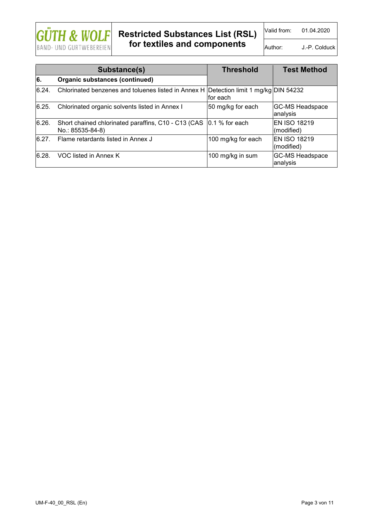

Valid from: 01.04.2020

Author: **J.-P. Colduck** 

| Substance(s) |                                                                                       | <b>Threshold</b>   | <b>Test Method</b>                 |
|--------------|---------------------------------------------------------------------------------------|--------------------|------------------------------------|
| 6.           | <b>Organic substances (continued)</b>                                                 |                    |                                    |
| 6.24.        | Chlorinated benzenes and toluenes listed in Annex H Detection limit 1 mg/kg DIN 54232 | for each           |                                    |
| 6.25.        | Chlorinated organic solvents listed in Annex I                                        | 50 mg/kg for each  | <b>GC-MS Headspace</b><br>analysis |
| 6.26.        | Short chained chlorinated paraffins, C10 - C13 (CAS<br>No.: 85535-84-8)               | $ 0.1 \%$ for each | <b>EN ISO 18219</b><br>(modified)  |
| 6.27.        | Flame retardants listed in Annex J                                                    | 100 mg/kg for each | <b>EN ISO 18219</b><br>(modified)  |
| 6.28.        | VOC listed in Annex K                                                                 | 100 mg/kg in sum   | <b>GC-MS Headspace</b><br>analysis |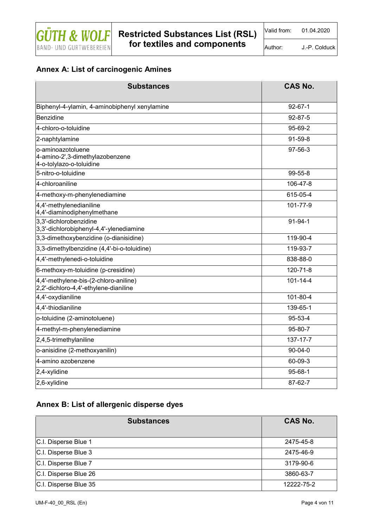

Author: J.-P. Colduck

#### **Annex A: List of carcinogenic Amines**

| <b>Substances</b>                                                                | <b>CAS No.</b> |
|----------------------------------------------------------------------------------|----------------|
| Biphenyl-4-ylamin, 4-aminobiphenyl xenylamine                                    | $92 - 67 - 1$  |
| Benzidine                                                                        | $92 - 87 - 5$  |
| 4-chloro-o-toluidine                                                             | 95-69-2        |
| 2-naphtylamine                                                                   | 91-59-8        |
| o-aminoazotoluene<br>4-amino-2',3-dimethylazobenzene<br>4-o-tolylazo-o-toluidine | 97-56-3        |
| 5-nitro-o-toluidine                                                              | 99-55-8        |
| 4-chloroaniline                                                                  | 106-47-8       |
| 4-methoxy-m-phenylenediamine                                                     | 615-05-4       |
| 4,4'-methylenedianiline<br>4,4'-diaminodiphenylmethane                           | 101-77-9       |
| 3,3'-dichlorobenzidine<br>3,3'-dichlorobiphenyl-4,4'-ylenediamine                | $91 - 94 - 1$  |
| 3,3-dimethoxybenzidine (o-dianisidine)                                           | 119-90-4       |
| 3,3-dimethylbenzidine (4,4'-bi-o-toluidine)                                      | 119-93-7       |
| 4,4'-methylenedi-o-toluidine                                                     | 838-88-0       |
| 6-methoxy-m-toluidine (p-cresidine)                                              | 120-71-8       |
| 4,4'-methylene-bis-(2-chloro-aniline)<br>2,2'-dichloro-4,4'-ethylene-dianiline   | $101 - 14 - 4$ |
| 4,4'-oxydianiline                                                                | 101-80-4       |
| 4,4'-thiodianiline                                                               | 139-65-1       |
| o-toluidine (2-aminotoluene)                                                     | 95-53-4        |
| 4-methyl-m-phenylenediamine                                                      | 95-80-7        |
| $2,4,5$ -trimethylaniline                                                        | 137-17-7       |
| o-anisidine (2-methoxyanilin)                                                    | 90-04-0        |
| 4-amino azobenzene                                                               | 60-09-3        |
| $2,4$ -xylidine                                                                  | 95-68-1        |
| 2,6-xylidine                                                                     | 87-62-7        |

#### **Annex B: List of allergenic disperse dyes**

| <b>Substances</b>     | <b>CAS No.</b> |
|-----------------------|----------------|
| C.I. Disperse Blue 1  | 2475-45-8      |
| C.I. Disperse Blue 3  | 2475-46-9      |
| C.I. Disperse Blue 7  | 3179-90-6      |
| C.I. Disperse Blue 26 | 3860-63-7      |
| C.I. Disperse Blue 35 | 12222-75-2     |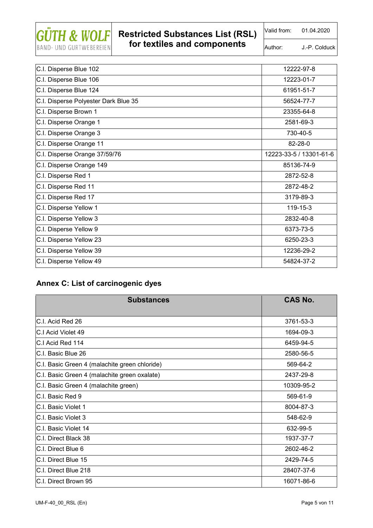

Valid from: 01.04.2020

Author: J.-P. Colduck

| C.I. Disperse Blue 102               | 12222-97-8              |
|--------------------------------------|-------------------------|
| C.I. Disperse Blue 106               | 12223-01-7              |
| C.I. Disperse Blue 124               | 61951-51-7              |
| C.I. Disperse Polyester Dark Blue 35 | 56524-77-7              |
| C.I. Disperse Brown 1                | 23355-64-8              |
| C.I. Disperse Orange 1               | 2581-69-3               |
| C.I. Disperse Orange 3               | 730-40-5                |
| C.I. Disperse Orange 11              | 82-28-0                 |
| C.I. Disperse Orange 37/59/76        | 12223-33-5 / 13301-61-6 |
| C.I. Disperse Orange 149             | 85136-74-9              |
| C.I. Disperse Red 1                  | 2872-52-8               |
| C.I. Disperse Red 11                 | 2872-48-2               |
| C.I. Disperse Red 17                 | 3179-89-3               |
| C.I. Disperse Yellow 1               | 119-15-3                |
| C.I. Disperse Yellow 3               | 2832-40-8               |
| C.I. Disperse Yellow 9               | 6373-73-5               |
| C.I. Disperse Yellow 23              | 6250-23-3               |
| C.I. Disperse Yellow 39              | 12236-29-2              |
| C.I. Disperse Yellow 49              | 54824-37-2              |

#### **Annex C: List of carcinogenic dyes**

| <b>Substances</b>                             | <b>CAS No.</b> |
|-----------------------------------------------|----------------|
| C.I. Acid Red 26                              | 3761-53-3      |
| C.I Acid Violet 49                            | 1694-09-3      |
| C.I Acid Red 114                              | 6459-94-5      |
| C.I. Basic Blue 26                            | 2580-56-5      |
| C.I. Basic Green 4 (malachite green chloride) | 569-64-2       |
| C.I. Basic Green 4 (malachite green oxalate)  | 2437-29-8      |
| C.I. Basic Green 4 (malachite green)          | 10309-95-2     |
| C.I. Basic Red 9                              | 569-61-9       |
| C.I. Basic Violet 1                           | 8004-87-3      |
| C.I. Basic Violet 3                           | 548-62-9       |
| C.I. Basic Violet 14                          | 632-99-5       |
| C.I. Direct Black 38                          | 1937-37-7      |
| C.I. Direct Blue 6                            | 2602-46-2      |
| C.I. Direct Blue 15                           | 2429-74-5      |
| C.I. Direct Blue 218                          | 28407-37-6     |
| C.I. Direct Brown 95                          | 16071-86-6     |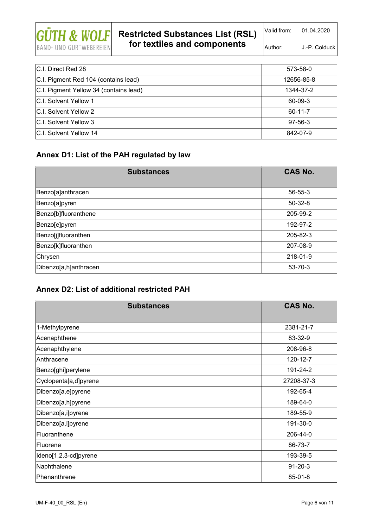

# **Restricted Substances List (RSL)**

**for textiles and components** 

Author: J.-P. Colduck

| IC.I. Direct Red 28                    | 573-58-0      |
|----------------------------------------|---------------|
| C.I. Pigment Red 104 (contains lead)   | 12656-85-8    |
| C.I. Pigment Yellow 34 (contains lead) | 1344-37-2     |
| IC.I. Solvent Yellow 1                 | 60-09-3       |
| <b>C.I. Solvent Yellow 2</b>           | $60 - 11 - 7$ |
| <b>C.I. Solvent Yellow 3</b>           | $97 - 56 - 3$ |
| <b>C.I. Solvent Yellow 14</b>          | 842-07-9      |

#### **Annex D1: List of the PAH regulated by law**

| <b>Substances</b>     | <b>CAS No.</b> |
|-----------------------|----------------|
| Benzo[a]anthracen     | $56 - 55 - 3$  |
| Benzo[a]pyren         | $50 - 32 - 8$  |
| Benzo[b]fluoranthene  | 205-99-2       |
| Benzo[e]pyren         | 192-97-2       |
| Benzo[j]fluoranthen   | 205-82-3       |
| Benzo[k]fluoranthen   | 207-08-9       |
| Chrysen               | 218-01-9       |
| Dibenzo[a,h]anthracen | $53 - 70 - 3$  |

#### **Annex D2: List of additional restricted PAH**

| <b>Substances</b>     | <b>CAS No.</b> |
|-----------------------|----------------|
| 1-Methylpyrene        | 2381-21-7      |
| Acenaphthene          | 83-32-9        |
| Acenaphthylene        | 208-96-8       |
| Anthracene            | 120-12-7       |
| Benzo[ghi]perylene    | 191-24-2       |
| Cyclopenta[a,d]pyrene | 27208-37-3     |
| Dibenzo[a,e]pyrene    | 192-65-4       |
| Dibenzo[a,h]pyrene    | 189-64-0       |
| Dibenzo[a,i]pyrene    | 189-55-9       |
| Dibenzo[a,l]pyrene    | 191-30-0       |
| Fluoranthene          | 206-44-0       |
| Fluorene              | 86-73-7        |
| Ideno[1,2,3-cd]pyrene | 193-39-5       |
| Naphthalene           | $91 - 20 - 3$  |
| Phenanthrene          | $85 - 01 - 8$  |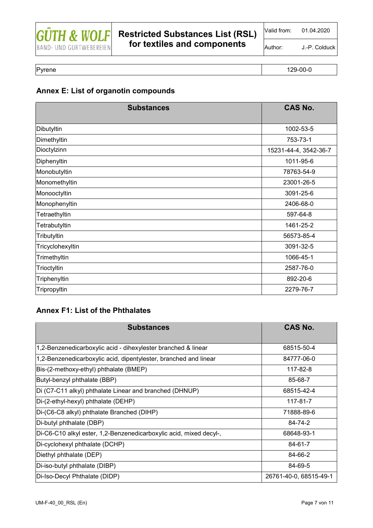

Author: J.-P. Colduck

Pyrene 129-00-0 and 129-00-0 and 129-00-0 and 129-00-0 and 129-00-0 and 129-00-0 and 129-00-0 and 129-00-0 and

### **Annex E: List of organotin compounds**

| <b>Substances</b> | <b>CAS No.</b>        |
|-------------------|-----------------------|
| Dibutyltin        | 1002-53-5             |
| Dimethyltin       | 753-73-1              |
| Dioctylzinn       | 15231-44-4, 3542-36-7 |
| Diphenyltin       | 1011-95-6             |
| Monobutyltin      | 78763-54-9            |
| Monomethyltin     | 23001-26-5            |
| Monooctyltin      | 3091-25-6             |
| Monophenyltin     | 2406-68-0             |
| Tetraethyltin     | 597-64-8              |
| Tetrabutyltin     | 1461-25-2             |
| Tributyltin       | 56573-85-4            |
| Tricyclohexyltin  | 3091-32-5             |
| Trimethyltin      | 1066-45-1             |
| Trioctyltin       | 2587-76-0             |
| Triphenyltin      | 892-20-6              |
| Tripropyltin      | 2279-76-7             |

#### **Annex F1: List of the Phthalates**

| <b>Substances</b>                                                  | <b>CAS No.</b>         |
|--------------------------------------------------------------------|------------------------|
| 1,2-Benzenedicarboxylic acid - dihexylester branched & linear      | 68515-50-4             |
| 1,2-Benzenedicarboxylic acid, dipentylester, branched and linear   | 84777-06-0             |
| Bis-(2-methoxy-ethyl) phthalate (BMEP)                             | 117-82-8               |
| Butyl-benzyl phthalate (BBP)                                       | 85-68-7                |
| Di (C7-C11 alkyl) phthalate Linear and branched (DHNUP)            | 68515-42-4             |
| Di-(2-ethyl-hexyl) phthalate (DEHP)                                | 117-81-7               |
| Di-(C6-C8 alkyl) phthalate Branched (DIHP)                         | 71888-89-6             |
| Di-butyl phthalate (DBP)                                           | 84-74-2                |
| Di-C6-C10 alkyl ester, 1,2-Benzenedicarboxylic acid, mixed decyl-, | 68648-93-1             |
| Di-cyclohexyl phthalate (DCHP)                                     | 84-61-7                |
| Diethyl phthalate (DEP)                                            | 84-66-2                |
| Di-iso-butyl phthalate (DIBP)                                      | 84-69-5                |
| Di-Iso-Decyl Phthalate (DIDP)                                      | 26761-40-0, 68515-49-1 |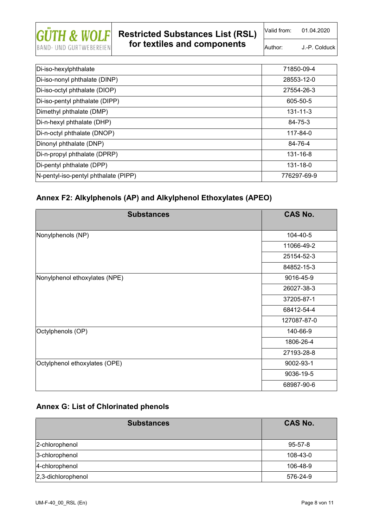

Valid from: 01.04.2020

Author: J.-P. Colduck

| Di-iso-hexylphthalate                | 71850-09-4     |
|--------------------------------------|----------------|
| Di-iso-nonyl phthalate (DINP)        | 28553-12-0     |
| Di-iso-octyl phthalate (DIOP)        | 27554-26-3     |
| Di-iso-pentyl phthalate (DIPP)       | 605-50-5       |
| Dimethyl phthalate (DMP)             | $131 - 11 - 3$ |
| Di-n-hexyl phthalate (DHP)           | 84-75-3        |
| Di-n-octyl phthalate (DNOP)          | 117-84-0       |
| Dinonyl phthalate (DNP)              | 84-76-4        |
| Di-n-propyl phthalate (DPRP)         | 131-16-8       |
| Di-pentyl phthalate (DPP)            | 131-18-0       |
| N-pentyl-iso-pentyl phthalate (PIPP) | 776297-69-9    |

#### **Annex F2: Alkylphenols (AP) and Alkylphenol Ethoxylates (APEO)**

| <b>Substances</b>             | <b>CAS No.</b> |
|-------------------------------|----------------|
| Nonylphenols (NP)             | 104-40-5       |
|                               | 11066-49-2     |
|                               | 25154-52-3     |
|                               | 84852-15-3     |
| Nonylphenol ethoxylates (NPE) | 9016-45-9      |
|                               | 26027-38-3     |
|                               | 37205-87-1     |
|                               | 68412-54-4     |
|                               | 127087-87-0    |
| Octylphenols (OP)             | 140-66-9       |
|                               | 1806-26-4      |
|                               | 27193-28-8     |
| Octylphenol ethoxylates (OPE) | 9002-93-1      |
|                               | 9036-19-5      |
|                               | 68987-90-6     |

#### **Annex G: List of Chlorinated phenols**

| <b>Substances</b>      | <b>CAS No.</b> |
|------------------------|----------------|
| 2-chlorophenol         | $95 - 57 - 8$  |
| 3-chlorophenol         | 108-43-0       |
| 4-chlorophenol         | 106-48-9       |
| $ 2,3$ -dichlorophenol | 576-24-9       |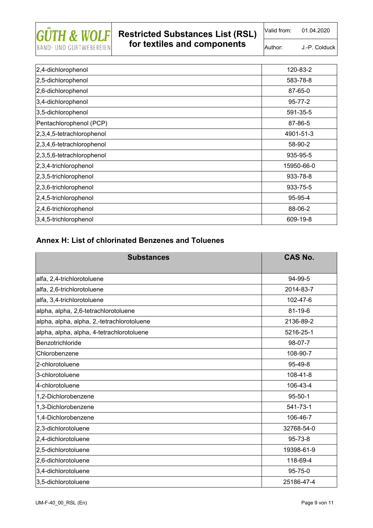

Valid from: 01.04.2020

Author: J.-P. Colduck

| 2,4-dichlorophenol           | 120-83-2      |
|------------------------------|---------------|
| 2,5-dichlorophenol           | 583-78-8      |
| 2,6-dichlorophenol           | 87-65-0       |
| 3,4-dichlorophenol           | $95 - 77 - 2$ |
| 3,5-dichlorophenol           | 591-35-5      |
| Pentachlorophenol (PCP)      | 87-86-5       |
| 2,3,4,5-tetrachlorophenol    | 4901-51-3     |
| 2,3,4,6-tetrachlorophenol    | 58-90-2       |
| $2,3,5,6$ -tetrachlorophenol | 935-95-5      |
| $2,3,4$ -trichlorophenol     | 15950-66-0    |
| 2,3,5-trichlorophenol        | 933-78-8      |
| 2,3,6-trichlorophenol        | 933-75-5      |
| 2,4,5-trichlorophenol        | 95-95-4       |
| 2,4,6-trichlorophenol        | 88-06-2       |
| 3,4,5-trichlorophenol        | 609-19-8      |

#### **Annex H: List of chlorinated Benzenes and Toluenes**

| <b>Substances</b>                          | <b>CAS No.</b> |
|--------------------------------------------|----------------|
| alfa, 2,4-trichlorotoluene                 | 94-99-5        |
| alfa, 2,6-trichlorotoluene                 | 2014-83-7      |
| alfa, 3,4-trichlorotoluene                 | 102-47-6       |
| alpha, alpha, 2,6-tetrachlorotoluene       | $81 - 19 - 6$  |
| alpha, alpha, alpha, 2,-tetrachlorotoluene | 2136-89-2      |
| alpha, alpha, alpha, 4-tetrachlorotoluene  | 5216-25-1      |
| Benzotrichloride                           | 98-07-7        |
| Chlorobenzene                              | 108-90-7       |
| 2-chlorotoluene                            | 95-49-8        |
| 3-chlorotoluene                            | 108-41-8       |
| 4-chlorotoluene                            | 106-43-4       |
| 1,2-Dichlorobenzene                        | $95 - 50 - 1$  |
| 1,3-Dichlorobenzene                        | 541-73-1       |
| 1,4-Dichlorobenzene                        | 106-46-7       |
| 2,3-dichlorotoluene                        | 32768-54-0     |
| 2,4-dichlorotoluene                        | 95-73-8        |
| 2,5-dichlorotoluene                        | 19398-61-9     |
| 2,6-dichlorotoluene                        | 118-69-4       |
| 3,4-dichlorotoluene                        | 95-75-0        |
| 3,5-dichlorotoluene                        | 25186-47-4     |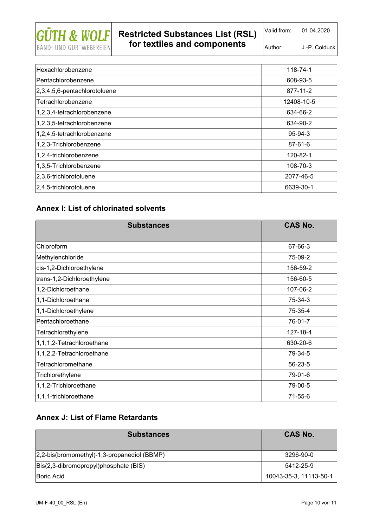

Valid from: 01.04.2020

Author: J.-P. Colduck

| Hexachlorobenzene                | 118-74-1      |
|----------------------------------|---------------|
| Pentachlorobenzene               | 608-93-5      |
| $[2,3,4,5,6$ -pentachlorotoluene | 877-11-2      |
| Tetrachlorobenzene               | 12408-10-5    |
| 1,2,3,4-tetrachlorobenzene       | 634-66-2      |
| 1,2,3,5-tetrachlorobenzene       | 634-90-2      |
| 1,2,4,5-tetrachlorobenzene       | $95 - 94 - 3$ |
| 1,2,3-Trichlorobenzene           | 87-61-6       |
| 1,2,4-trichlorobenzene           | 120-82-1      |
| 1,3,5-Trichlorobenzene           | 108-70-3      |
| 2,3,6-trichlorotoluene           | 2077-46-5     |
| $ 2,4,5$ -trichlorotoluene       | 6639-30-1     |

#### **Annex I: List of chlorinated solvents**

| <b>Substances</b>          | <b>CAS No.</b> |
|----------------------------|----------------|
| Chloroform                 | 67-66-3        |
| Methylenchloride           | 75-09-2        |
| cis-1,2-Dichloroethylene   | 156-59-2       |
| trans-1,2-Dichloroethylene | 156-60-5       |
| 1,2-Dichloroethane         | 107-06-2       |
| 1,1-Dichloroethane         | 75-34-3        |
| 1,1-Dichloroethylene       | 75-35-4        |
| Pentachloroethane          | 76-01-7        |
| Tetrachlorethylene         | 127-18-4       |
| 1,1,1,2-Tetrachloroethane  | 630-20-6       |
| 1,1,2,2-Tetrachloroethane  | 79-34-5        |
| Tetrachloromethane         | 56-23-5        |
| Trichlorethylene           | 79-01-6        |
| 1,1,2-Trichloroethane      | 79-00-5        |
| 1,1,1-trichloroethane      | 71-55-6        |

#### **Annex J: List of Flame Retardants**

| <b>Substances</b>                           | CAS No.                |
|---------------------------------------------|------------------------|
| 2,2-bis(bromomethyl)-1,3-propanediol (BBMP) | 3296-90-0              |
| Bis(2,3-dibromopropyl)phosphate (BIS)       | 5412-25-9              |
| <b>Boric Acid</b>                           | 10043-35-3, 11113-50-1 |